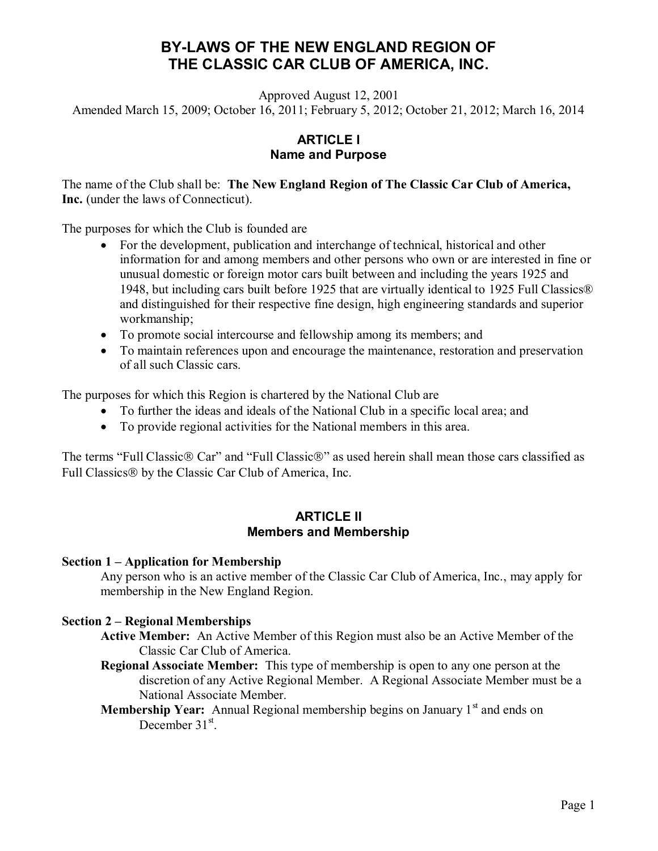# **BY-LAWS OF THE NEW ENGLAND REGION OF THE CLASSIC CAR CLUB OF AMERICA, INC.**

Approved August 12, 2001

Amended March 15, 2009; October 16, 2011; February 5, 2012; October 21, 2012; March 16, 2014

## **ARTICLE I Name and Purpose**

The name of the Club shall be: **The New England Region of The Classic Car Club of America, Inc.** (under the laws of Connecticut).

The purposes for which the Club is founded are

- For the development, publication and interchange of technical, historical and other information for and among members and other persons who own or are interested in fine or unusual domestic or foreign motor cars built between and including the years 1925 and 1948, but including cars built before 1925 that are virtually identical to 1925 Full Classics® and distinguished for their respective fine design, high engineering standards and superior workmanship;
- · To promote social intercourse and fellowship among its members; and
- · To maintain references upon and encourage the maintenance, restoration and preservation of all such Classic cars.

The purposes for which this Region is chartered by the National Club are

- · To further the ideas and ideals of the National Club in a specific local area; and
- · To provide regional activities for the National members in this area.

The terms "Full Classic $\circledR$  Car" and "Full Classic $\circledR$ " as used herein shall mean those cars classified as Full Classics<sup>®</sup> by the Classic Car Club of America, Inc.

#### **ARTICLE II Members and Membership**

#### **Section 1 – Application for Membership**

Any person who is an active member of the Classic Car Club of America, Inc., may apply for membership in the New England Region.

#### **Section 2 – Regional Memberships**

- **Active Member:** An Active Member of this Region must also be an Active Member of the Classic Car Club of America.
- **Regional Associate Member:** This type of membership is open to any one person at the discretion of any Active Regional Member. A Regional Associate Member must be a National Associate Member.
- **Membership Year:** Annual Regional membership begins on January 1<sup>st</sup> and ends on December 31<sup>st</sup>.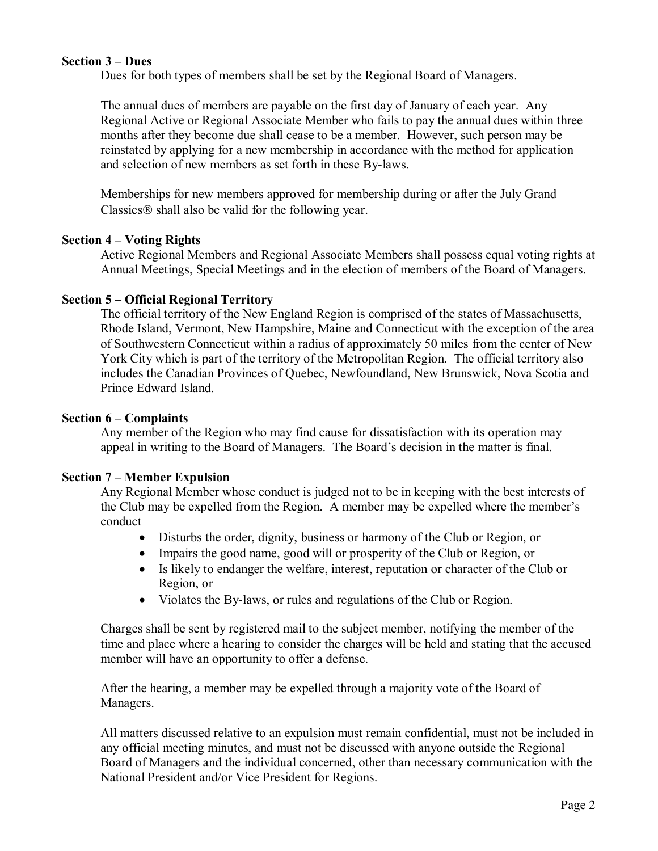#### **Section 3 – Dues**

Dues for both types of members shall be set by the Regional Board of Managers.

The annual dues of members are payable on the first day of January of each year. Any Regional Active or Regional Associate Member who fails to pay the annual dues within three months after they become due shall cease to be a member. However, such person may be reinstated by applying for a new membership in accordance with the method for application and selection of new members as set forth in these By-laws.

Memberships for new members approved for membership during or after the July Grand Classics<sup>®</sup> shall also be valid for the following year.

#### **Section 4 – Voting Rights**

Active Regional Members and Regional Associate Members shall possess equal voting rights at Annual Meetings, Special Meetings and in the election of members of the Board of Managers.

#### **Section 5 – Official Regional Territory**

The official territory of the New England Region is comprised of the states of Massachusetts, Rhode Island, Vermont, New Hampshire, Maine and Connecticut with the exception of the area of Southwestern Connecticut within a radius of approximately 50 miles from the center of New York City which is part of the territory of the Metropolitan Region. The official territory also includes the Canadian Provinces of Quebec, Newfoundland, New Brunswick, Nova Scotia and Prince Edward Island.

#### **Section 6 – Complaints**

Any member of the Region who may find cause for dissatisfaction with its operation may appeal in writing to the Board of Managers. The Board's decision in the matter is final.

#### **Section 7 – Member Expulsion**

Any Regional Member whose conduct is judged not to be in keeping with the best interests of the Club may be expelled from the Region. A member may be expelled where the member's conduct

- · Disturbs the order, dignity, business or harmony of the Club or Region, or
- Impairs the good name, good will or prosperity of the Club or Region, or
- · Is likely to endanger the welfare, interest, reputation or character of the Club or Region, or
- · Violates the By-laws, or rules and regulations of the Club or Region.

Charges shall be sent by registered mail to the subject member, notifying the member of the time and place where a hearing to consider the charges will be held and stating that the accused member will have an opportunity to offer a defense.

After the hearing, a member may be expelled through a majority vote of the Board of Managers.

All matters discussed relative to an expulsion must remain confidential, must not be included in any official meeting minutes, and must not be discussed with anyone outside the Regional Board of Managers and the individual concerned, other than necessary communication with the National President and/or Vice President for Regions.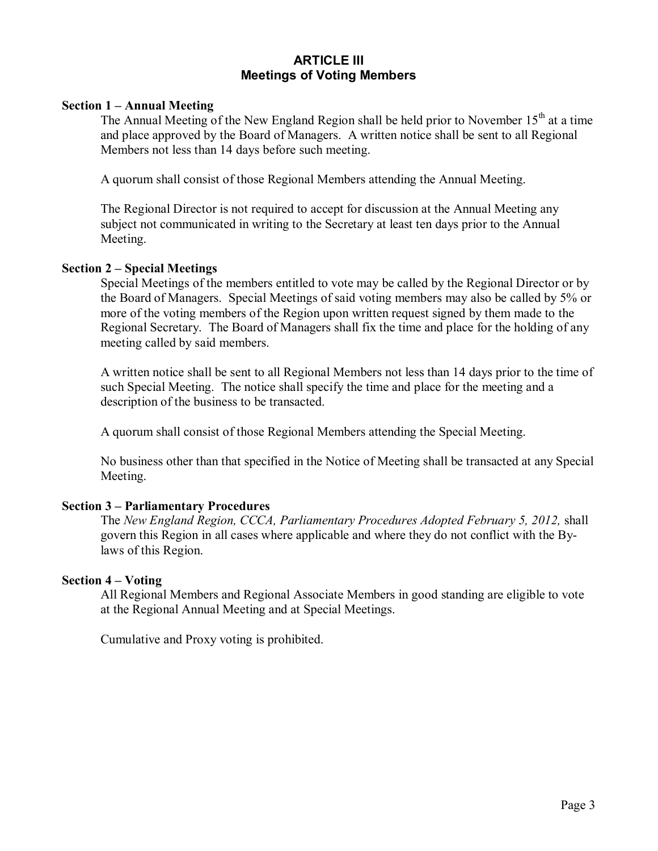### **ARTICLE III Meetings of Voting Members**

#### **Section 1 – Annual Meeting**

The Annual Meeting of the New England Region shall be held prior to November  $15<sup>th</sup>$  at a time and place approved by the Board of Managers. A written notice shall be sent to all Regional Members not less than 14 days before such meeting.

A quorum shall consist of those Regional Members attending the Annual Meeting.

The Regional Director is not required to accept for discussion at the Annual Meeting any subject not communicated in writing to the Secretary at least ten days prior to the Annual Meeting.

#### **Section 2 – Special Meetings**

Special Meetings of the members entitled to vote may be called by the Regional Director or by the Board of Managers. Special Meetings of said voting members may also be called by 5% or more of the voting members of the Region upon written request signed by them made to the Regional Secretary. The Board of Managers shall fix the time and place for the holding of any meeting called by said members.

A written notice shall be sent to all Regional Members not less than 14 days prior to the time of such Special Meeting. The notice shall specify the time and place for the meeting and a description of the business to be transacted.

A quorum shall consist of those Regional Members attending the Special Meeting.

No business other than that specified in the Notice of Meeting shall be transacted at any Special Meeting.

#### **Section 3 – Parliamentary Procedures**

The *New England Region, CCCA, Parliamentary Procedures Adopted February 5, 2012,* shall govern this Region in all cases where applicable and where they do not conflict with the Bylaws of this Region.

#### **Section 4 – Voting**

All Regional Members and Regional Associate Members in good standing are eligible to vote at the Regional Annual Meeting and at Special Meetings.

Cumulative and Proxy voting is prohibited.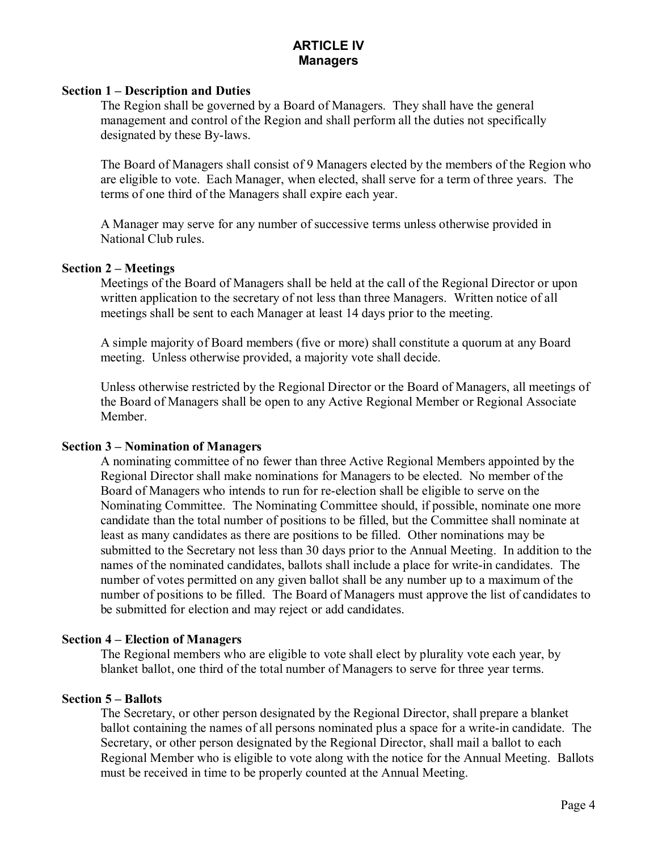# **ARTICLE IV Managers**

#### **Section 1 – Description and Duties**

The Region shall be governed by a Board of Managers. They shall have the general management and control of the Region and shall perform all the duties not specifically designated by these By-laws.

The Board of Managers shall consist of 9 Managers elected by the members of the Region who are eligible to vote. Each Manager, when elected, shall serve for a term of three years. The terms of one third of the Managers shall expire each year.

A Manager may serve for any number of successive terms unless otherwise provided in National Club rules.

### **Section 2 – Meetings**

Meetings of the Board of Managers shall be held at the call of the Regional Director or upon written application to the secretary of not less than three Managers. Written notice of all meetings shall be sent to each Manager at least 14 days prior to the meeting.

A simple majority of Board members (five or more) shall constitute a quorum at any Board meeting. Unless otherwise provided, a majority vote shall decide.

Unless otherwise restricted by the Regional Director or the Board of Managers, all meetings of the Board of Managers shall be open to any Active Regional Member or Regional Associate Member.

### **Section 3 – Nomination of Managers**

A nominating committee of no fewer than three Active Regional Members appointed by the Regional Director shall make nominations for Managers to be elected. No member of the Board of Managers who intends to run for re-election shall be eligible to serve on the Nominating Committee. The Nominating Committee should, if possible, nominate one more candidate than the total number of positions to be filled, but the Committee shall nominate at least as many candidates as there are positions to be filled. Other nominations may be submitted to the Secretary not less than 30 days prior to the Annual Meeting. In addition to the names of the nominated candidates, ballots shall include a place for write-in candidates. The number of votes permitted on any given ballot shall be any number up to a maximum of the number of positions to be filled. The Board of Managers must approve the list of candidates to be submitted for election and may reject or add candidates.

#### **Section 4 – Election of Managers**

The Regional members who are eligible to vote shall elect by plurality vote each year, by blanket ballot, one third of the total number of Managers to serve for three year terms.

### **Section 5 – Ballots**

The Secretary, or other person designated by the Regional Director, shall prepare a blanket ballot containing the names of all persons nominated plus a space for a write-in candidate. The Secretary, or other person designated by the Regional Director, shall mail a ballot to each Regional Member who is eligible to vote along with the notice for the Annual Meeting. Ballots must be received in time to be properly counted at the Annual Meeting.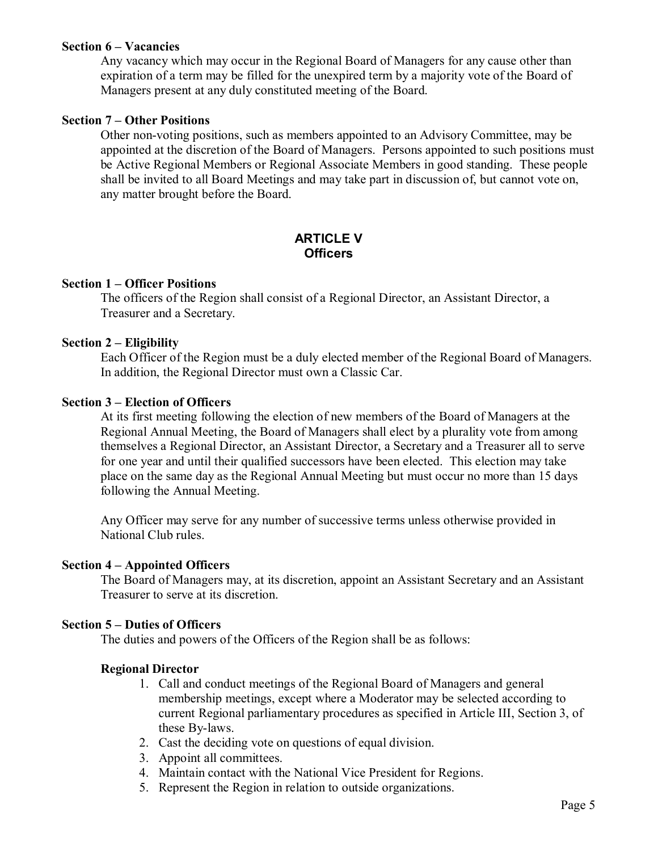#### **Section 6 – Vacancies**

Any vacancy which may occur in the Regional Board of Managers for any cause other than expiration of a term may be filled for the unexpired term by a majority vote of the Board of Managers present at any duly constituted meeting of the Board.

#### **Section 7 – Other Positions**

Other non-voting positions, such as members appointed to an Advisory Committee, may be appointed at the discretion of the Board of Managers. Persons appointed to such positions must be Active Regional Members or Regional Associate Members in good standing. These people shall be invited to all Board Meetings and may take part in discussion of, but cannot vote on, any matter brought before the Board.

## **ARTICLE V Officers**

#### **Section 1 – Officer Positions**

The officers of the Region shall consist of a Regional Director, an Assistant Director, a Treasurer and a Secretary.

### **Section 2 – Eligibility**

Each Officer of the Region must be a duly elected member of the Regional Board of Managers. In addition, the Regional Director must own a Classic Car.

### **Section 3 – Election of Officers**

At its first meeting following the election of new members of the Board of Managers at the Regional Annual Meeting, the Board of Managers shall elect by a plurality vote from among themselves a Regional Director, an Assistant Director, a Secretary and a Treasurer all to serve for one year and until their qualified successors have been elected. This election may take place on the same day as the Regional Annual Meeting but must occur no more than 15 days following the Annual Meeting.

Any Officer may serve for any number of successive terms unless otherwise provided in National Club rules.

#### **Section 4 – Appointed Officers**

The Board of Managers may, at its discretion, appoint an Assistant Secretary and an Assistant Treasurer to serve at its discretion.

#### **Section 5 – Duties of Officers**

The duties and powers of the Officers of the Region shall be as follows:

#### **Regional Director**

- 1. Call and conduct meetings of the Regional Board of Managers and general membership meetings, except where a Moderator may be selected according to current Regional parliamentary procedures as specified in Article III, Section 3, of these By-laws.
- 2. Cast the deciding vote on questions of equal division.
- 3. Appoint all committees.
- 4. Maintain contact with the National Vice President for Regions.
- 5. Represent the Region in relation to outside organizations.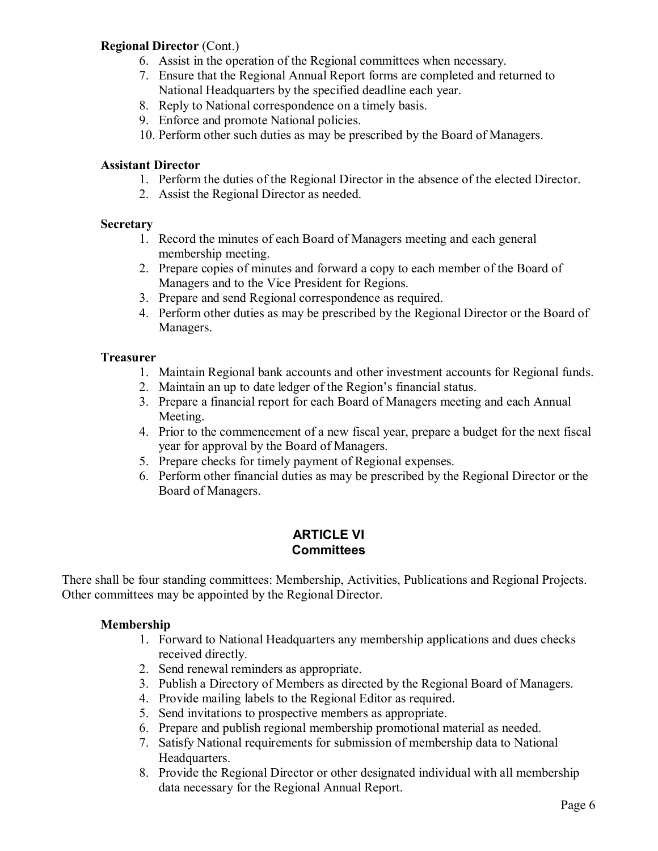### **Regional Director** (Cont.)

- 6. Assist in the operation of the Regional committees when necessary.
- 7. Ensure that the Regional Annual Report forms are completed and returned to National Headquarters by the specified deadline each year.
- 8. Reply to National correspondence on a timely basis.
- 9. Enforce and promote National policies.
- 10. Perform other such duties as may be prescribed by the Board of Managers.

### **Assistant Director**

- 1. Perform the duties of the Regional Director in the absence of the elected Director.
- 2. Assist the Regional Director as needed.

#### **Secretary**

- 1. Record the minutes of each Board of Managers meeting and each general membership meeting.
- 2. Prepare copies of minutes and forward a copy to each member of the Board of Managers and to the Vice President for Regions.
- 3. Prepare and send Regional correspondence as required.
- 4. Perform other duties as may be prescribed by the Regional Director or the Board of Managers.

#### **Treasurer**

- 1. Maintain Regional bank accounts and other investment accounts for Regional funds.
- 2. Maintain an up to date ledger of the Region's financial status.
- 3. Prepare a financial report for each Board of Managers meeting and each Annual Meeting.
- 4. Prior to the commencement of a new fiscal year, prepare a budget for the next fiscal year for approval by the Board of Managers.
- 5. Prepare checks for timely payment of Regional expenses.
- 6. Perform other financial duties as may be prescribed by the Regional Director or the Board of Managers.

## **ARTICLE VI Committees**

There shall be four standing committees: Membership, Activities, Publications and Regional Projects. Other committees may be appointed by the Regional Director.

#### **Membership**

- 1. Forward to National Headquarters any membership applications and dues checks received directly.
- 2. Send renewal reminders as appropriate.
- 3. Publish a Directory of Members as directed by the Regional Board of Managers.
- 4. Provide mailing labels to the Regional Editor as required.
- 5. Send invitations to prospective members as appropriate.
- 6. Prepare and publish regional membership promotional material as needed.
- 7. Satisfy National requirements for submission of membership data to National Headquarters.
- 8. Provide the Regional Director or other designated individual with all membership data necessary for the Regional Annual Report.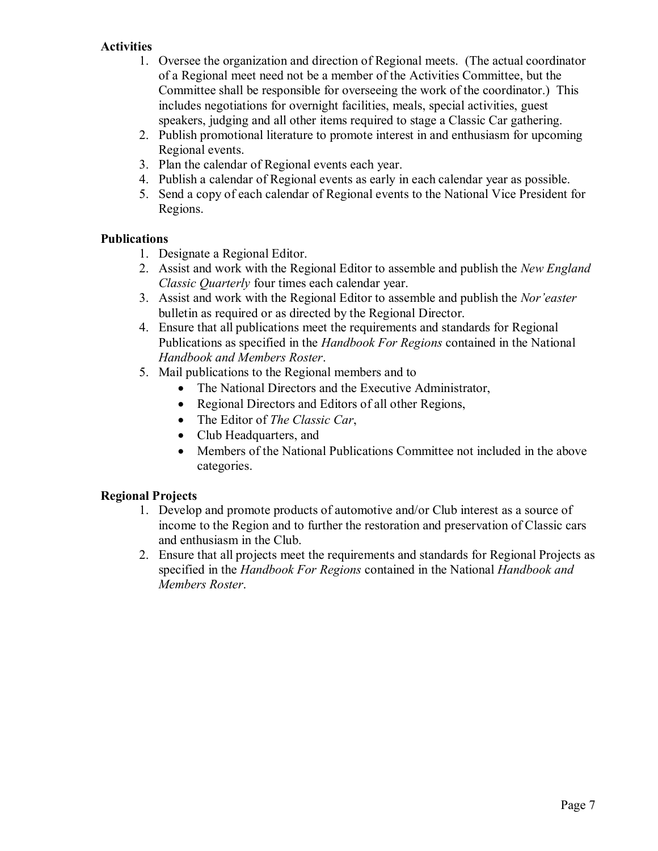### **Activities**

- 1. Oversee the organization and direction of Regional meets. (The actual coordinator of a Regional meet need not be a member of the Activities Committee, but the Committee shall be responsible for overseeing the work of the coordinator.) This includes negotiations for overnight facilities, meals, special activities, guest speakers, judging and all other items required to stage a Classic Car gathering.
- 2. Publish promotional literature to promote interest in and enthusiasm for upcoming Regional events.
- 3. Plan the calendar of Regional events each year.
- 4. Publish a calendar of Regional events as early in each calendar year as possible.
- 5. Send a copy of each calendar of Regional events to the National Vice President for Regions.

### **Publications**

- 1. Designate a Regional Editor.
- 2. Assist and work with the Regional Editor to assemble and publish the *New England Classic Quarterly* four times each calendar year.
- 3. Assist and work with the Regional Editor to assemble and publish the *Nor'easter* bulletin as required or as directed by the Regional Director.
- 4. Ensure that all publications meet the requirements and standards for Regional Publications as specified in the *Handbook For Regions* contained in the National *Handbook and Members Roster*.
- 5. Mail publications to the Regional members and to
	- The National Directors and the Executive Administrator,
	- Regional Directors and Editors of all other Regions,
	- · The Editor of *The Classic Car*,
	- Club Headquarters, and
	- · Members of the National Publications Committee not included in the above categories.

### **Regional Projects**

- 1. Develop and promote products of automotive and/or Club interest as a source of income to the Region and to further the restoration and preservation of Classic cars and enthusiasm in the Club.
- 2. Ensure that all projects meet the requirements and standards for Regional Projects as specified in the *Handbook For Regions* contained in the National *Handbook and Members Roster*.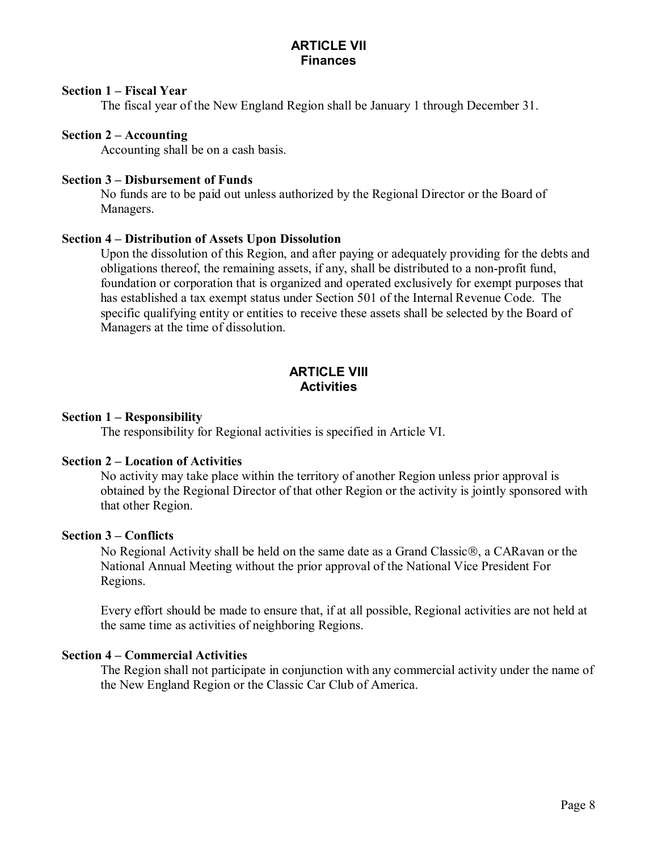### **Section 1 – Fiscal Year**

The fiscal year of the New England Region shall be January 1 through December 31.

### **Section 2 – Accounting**

Accounting shall be on a cash basis.

### **Section 3 – Disbursement of Funds**

No funds are to be paid out unless authorized by the Regional Director or the Board of Managers.

### **Section 4 – Distribution of Assets Upon Dissolution**

Upon the dissolution of this Region, and after paying or adequately providing for the debts and obligations thereof, the remaining assets, if any, shall be distributed to a non-profit fund, foundation or corporation that is organized and operated exclusively for exempt purposes that has established a tax exempt status under Section 501 of the Internal Revenue Code. The specific qualifying entity or entities to receive these assets shall be selected by the Board of Managers at the time of dissolution.

### **ARTICLE VIII Activities**

#### **Section 1 – Responsibility**

The responsibility for Regional activities is specified in Article VI.

#### **Section 2 – Location of Activities**

No activity may take place within the territory of another Region unless prior approval is obtained by the Regional Director of that other Region or the activity is jointly sponsored with that other Region.

#### **Section 3 – Conflicts**

No Regional Activity shall be held on the same date as a Grand Classic $\mathcal{R}$ , a CARavan or the National Annual Meeting without the prior approval of the National Vice President For Regions.

Every effort should be made to ensure that, if at all possible, Regional activities are not held at the same time as activities of neighboring Regions.

### **Section 4 – Commercial Activities**

The Region shall not participate in conjunction with any commercial activity under the name of the New England Region or the Classic Car Club of America.